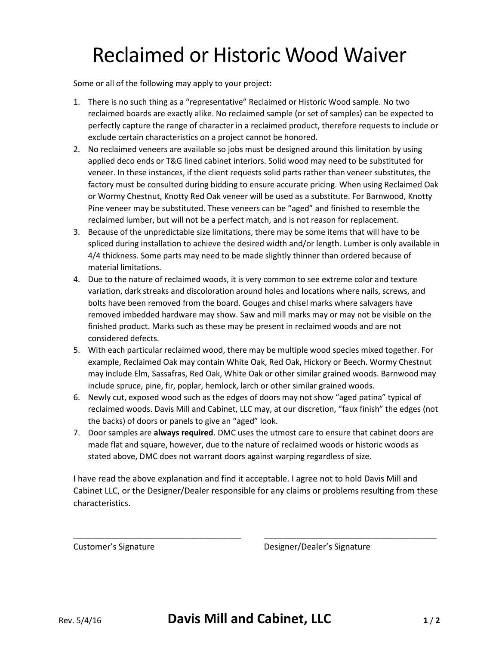## Reclaimed or Historic Wood Waiver

Some or all of the following may apply to your project:

- 1. There is no such thing as a "representative" Reclaimed or Historic Wood sample. No two reclaimed boards are exactly alike. No reclaimed sample (or set of samples) can be expected to perfectly capture the range of character in a reclaimed product, therefore requests to include or exclude certain characteristics on a project cannot be honored.
- 2. No reclaimed veneers are available so jobs must be designed around this limitation by using applied deco ends or T&G lined cabinet interiors. Solid wood may need to be substituted for veneer. In these instances, if the client requests solid parts rather than veneer substitutes, the factory must be consulted during bidding to ensure accurate pricing. When using Reclaimed Oak or Wormy Chestnut, Knotty Red Oak veneer will be used as a substitute. For Barnwood, Knotty Pine veneer may be substituted. These veneers can be "aged" and finished to resemble the reclaimed lumber, but will not be a perfect match, and is not reason for replacement.
- 3. Because of the unpredictable size limitations, there may be some items that will have to be spliced during installation to achieve the desired width and/or length. Lumber is only available in 4/4 thickness. Some parts may need to be made slightly thinner than ordered because of material limitations.
- 4. Due to the nature of reclaimed woods, it is very common to see extreme color and texture variation, dark streaks and discoloration around holes and locations where nails, screws, and bolts have been removed from the board. Gouges and chisel marks where salvagers have removed imbedded hardware may show. Saw and mill marks may or may not be visible on the finished product. Marks such as these may be present in reclaimed woods and are not considered defects.
- 5. With each particular reclaimed wood, there may be multiple wood species mixed together. For example, Reclaimed Oak may contain White Oak, Red Oak, Hickory or Beech. Wormy Chestnut may include Elm, Sassafras, Red Oak, White Oak or other similar grained woods. Barnwood may include spruce, pine, fir, poplar, hemlock, larch or other similar grained woods.
- 6. Newly cut, exposed wood such as the edges of doors may not show "aged patina" typical of reclaimed woods. Davis Mill and Cabinet, LLC may, at our discretion, "faux finish" the edges (not the backs) of doors or panels to give an "aged" look.
- 7. Door samples are **always required**. DMC uses the utmost care to ensure that cabinet doors are made flat and square, however, due to the nature of reclaimed woods or historic woods as stated above, DMC does not warrant doors against warping regardless of size.

I have read the above explanation and find it acceptable. I agree not to hold Davis Mill and Cabinet LLC, or the Designer/Dealer responsible for any claims or problems resulting from these characteristics.

\_\_\_\_\_\_\_\_\_\_\_\_\_\_\_\_\_\_\_\_\_\_\_\_\_\_\_\_\_\_\_\_\_\_\_\_ \_\_\_\_\_\_\_\_\_\_\_\_\_\_\_\_\_\_\_\_\_\_\_\_\_\_\_\_\_\_\_\_\_\_\_\_\_

Customer's Signature **Customer's Signature** Designer/Dealer's Signature